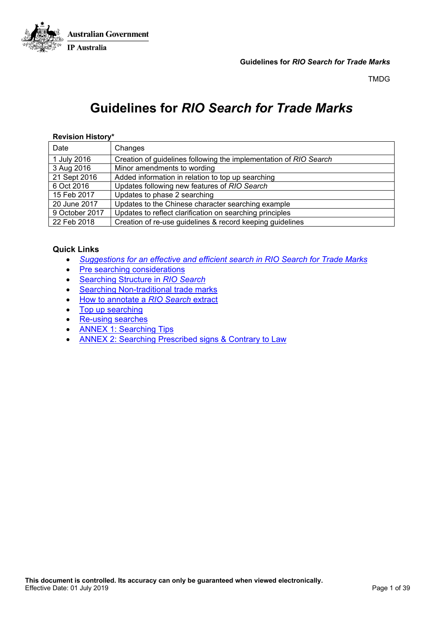

# **Guidelines for** *RIO Search for Trade Marks*

#### **Revision History\***

| Date           | Changes                                                           |
|----------------|-------------------------------------------------------------------|
| 1 July 2016    | Creation of guidelines following the implementation of RIO Search |
| 3 Aug 2016     | Minor amendments to wording                                       |
| 21 Sept 2016   | Added information in relation to top up searching                 |
| 6 Oct 2016     | Updates following new features of RIO Search                      |
| 15 Feb 2017    | Updates to phase 2 searching                                      |
| 20 June 2017   | Updates to the Chinese character searching example                |
| 9 October 2017 | Updates to reflect clarification on searching principles          |
| 22 Feb 2018    | Creation of re-use guidelines & record keeping guidelines         |

#### **Quick Links**

- *[Suggestions for an effective and efficient search in RIO Search for Trade Marks](#page-1-0)*
- [Pre searching considerations](#page-2-0)
- Searching Structure in *[RIO Search](#page-4-0)*
- [Searching Non-traditional trade marks](#page-19-0)
- [How to annotate a](#page-21-0) *RIO Search* extract
- [Top up searching](#page-22-0)
- [Re-using searches](#page-23-0)
- [ANNEX 1: Searching Tips](#page-25-0)
- [ANNEX 2: Searching Prescribed signs & Contrary to Law](#page-23-0)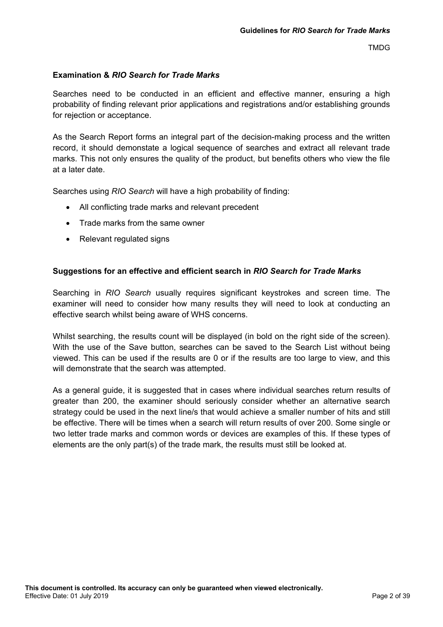## **Examination &** *RIO Search for Trade Marks*

Searches need to be conducted in an efficient and effective manner, ensuring a high probability of finding relevant prior applications and registrations and/or establishing grounds for rejection or acceptance.

As the Search Report forms an integral part of the decision-making process and the written record, it should demonstate a logical sequence of searches and extract all relevant trade marks. This not only ensures the quality of the product, but benefits others who view the file at a later date.

Searches using *RIO Search* will have a high probability of finding:

- All conflicting trade marks and relevant precedent
- Trade marks from the same owner
- Relevant regulated signs

## <span id="page-1-0"></span>**Suggestions for an effective and efficient search in** *RIO Search for Trade Marks*

Searching in *RIO Search* usually requires significant keystrokes and screen time. The examiner will need to consider how many results they will need to look at conducting an effective search whilst being aware of WHS concerns.

Whilst searching, the results count will be displayed (in bold on the right side of the screen). With the use of the Save button, searches can be saved to the Search List without being viewed. This can be used if the results are 0 or if the results are too large to view, and this will demonstrate that the search was attempted.

As a general guide, it is suggested that in cases where individual searches return results of greater than 200, the examiner should seriously consider whether an alternative search strategy could be used in the next line/s that would achieve a smaller number of hits and still be effective. There will be times when a search will return results of over 200. Some single or two letter trade marks and common words or devices are examples of this. If these types of elements are the only part(s) of the trade mark, the results must still be looked at.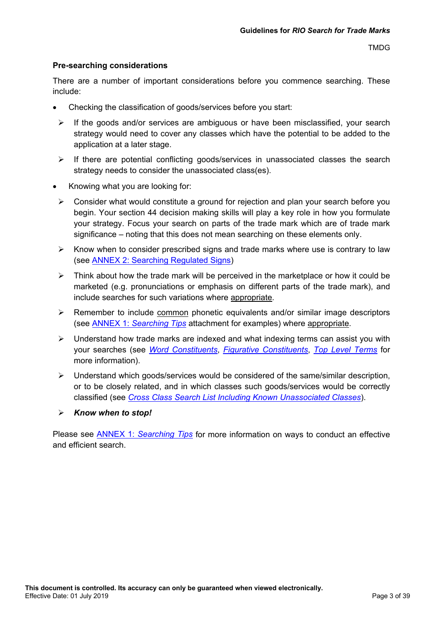#### <span id="page-2-0"></span>**Pre-searching considerations**

There are a number of important considerations before you commence searching. These include:

- Checking the classification of goods/services before you start:
- $\triangleright$  If the goods and/or services are ambiguous or have been misclassified, your search strategy would need to cover any classes which have the potential to be added to the application at a later stage.
- $\triangleright$  If there are potential conflicting goods/services in unassociated classes the search strategy needs to consider the unassociated class(es).
- Knowing what you are looking for:
	- $\triangleright$  Consider what would constitute a ground for rejection and plan your search before you begin. Your section 44 decision making skills will play a key role in how you formulate your strategy. Focus your search on parts of the trade mark which are of trade mark significance – noting that this does not mean searching on these elements only.
	- $\triangleright$  Know when to consider prescribed signs and trade marks where use is contrary to law (see [ANNEX 2: Searching R](#page-23-0)egulated Signs)
	- $\triangleright$  Think about how the trade mark will be perceived in the marketplace or how it could be marketed (e.g. pronunciations or emphasis on different parts of the trade mark), and include searches for such variations where appropriate.
	- $\triangleright$  Remember to include common phonetic equivalents and/or similar image descriptors (see ANNEX 1: *[Searching Tips](#page-25-0)* attachment for examples) where appropriate.
	- $\triangleright$  Understand how trade marks are indexed and what indexing terms can assist you with your searches (see *[Word Constituents](http://intranet/atmoss/falcon/help/glossary/word_constituents.htm)*, *Figurative [Constituents](http://intranet/atmoss/falcon/help/glossary/devices.htm)*, *[Top Level Terms](http://intranet/atmoss/falcon/help/glossary/list_of_top_level_terms.htm)* for more information).
	- $\triangleright$  Understand which goods/services would be considered of the same/similar description, or to be closely related, and in which classes such goods/services would be correctly classified (see *Cross Class Search List [Including Known Unassociated Classes](https://intranet.aipo.gov.au/sites/default/files/2017-06/conflicting_goods_and_services_list.doc)*).
	- *Know when to stop!*

Please see ANNEX 1: *[Searching Tips](#page-25-0)* for more information on ways to conduct an effective and efficient search.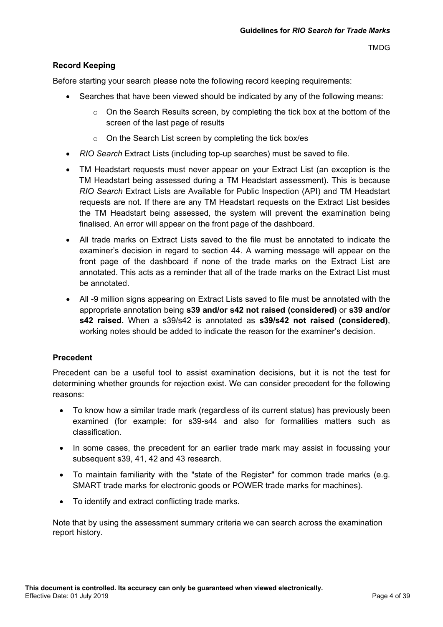## **Record Keeping**

Before starting your search please note the following record keeping requirements:

- Searches that have been viewed should be indicated by any of the following means:
	- $\circ$  On the Search Results screen, by completing the tick box at the bottom of the screen of the last page of results
	- o On the Search List screen by completing the tick box/es
- *RIO Search* Extract Lists (including top-up searches) must be saved to file.
- TM Headstart requests must never appear on your Extract List (an exception is the TM Headstart being assessed during a TM Headstart assessment). This is because *RIO Search* Extract Lists are Available for Public Inspection (API) and TM Headstart requests are not. If there are any TM Headstart requests on the Extract List besides the TM Headstart being assessed, the system will prevent the examination being finalised. An error will appear on the front page of the dashboard.
- All trade marks on Extract Lists saved to the file must be annotated to indicate the examiner's decision in regard to section 44. A warning message will appear on the front page of the dashboard if none of the trade marks on the Extract List are annotated. This acts as a reminder that all of the trade marks on the Extract List must be annotated.
- All -9 million signs appearing on Extract Lists saved to file must be annotated with the appropriate annotation being **s39 and/or s42 not raised (considered)** or **s39 and/or s42 raised.** When a s39/s42 is annotated as **s39/s42 not raised (considered)**, working notes should be added to indicate the reason for the examiner's decision.

## **Precedent**

Precedent can be a useful tool to assist examination decisions, but it is not the test for determining whether grounds for rejection exist. We can consider precedent for the following reasons:

- To know how a similar trade mark (regardless of its current status) has previously been examined (for example: for s39-s44 and also for formalities matters such as classification.
- In some cases, the precedent for an earlier trade mark may assist in focussing your subsequent s39, 41, 42 and 43 research.
- To maintain familiarity with the "state of the Register" for common trade marks (e.g. SMART trade marks for electronic goods or POWER trade marks for machines).
- To identify and extract conflicting trade marks.

Note that by using the assessment summary criteria we can search across the examination report history.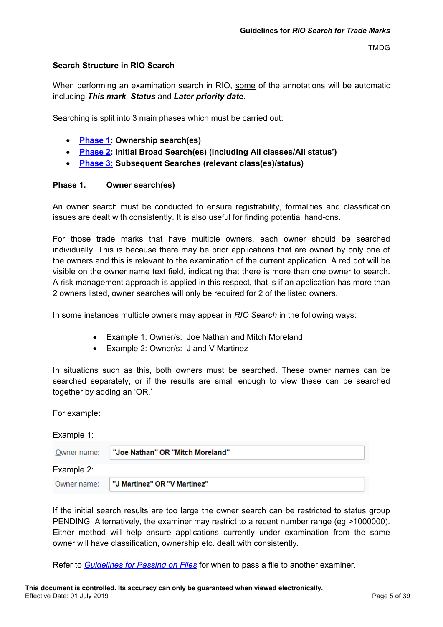#### <span id="page-4-0"></span>**Search Structure in RIO Search**

When performing an examination search in RIO, some of the annotations will be automatic including *This mark, Status* and *Later priority date*.

Searching is split into 3 main phases which must be carried out:

- **[Phase 1:](#page-4-1) Ownership search(es)**
- **[Phase 2:](#page-6-0) Initial Broad Search(es) (including All classes/All status')**
- **[Phase 3:](#page-13-0) Subsequent Searches (relevant class(es)/status)**

#### <span id="page-4-1"></span>**Phase 1. Owner search(es)**

An owner search must be conducted to ensure registrability, formalities and classification issues are dealt with consistently. It is also useful for finding potential hand-ons.

For those trade marks that have multiple owners, each owner should be searched individually. This is because there may be prior applications that are owned by only one of the owners and this is relevant to the examination of the current application. A red dot will be visible on the owner name text field, indicating that there is more than one owner to search. A risk management approach is applied in this respect, that is if an application has more than 2 owners listed, owner searches will only be required for 2 of the listed owners.

In some instances multiple owners may appear in *RIO Search* in the following ways:

- Example 1: Owner/s: Joe Nathan and Mitch Moreland
- Example 2: Owner/s: J and V Martinez

In situations such as this, both owners must be searched. These owner names can be searched separately, or if the results are small enough to view these can be searched together by adding an 'OR.'

For example:

| Example 1:  |                                  |
|-------------|----------------------------------|
| Owner name: | "Joe Nathan" OR "Mitch Moreland" |
| Example 2:  |                                  |
| Owner name: | "J Martinez" OR "V Martinez"     |

If the initial search results are too large the owner search can be restricted to status group PENDING. Alternatively, the examiner may restrict to a recent number range (eg >1000000). Either method will help ensure applications currently under examination from the same owner will have classification, ownership etc. dealt with consistently.

Refer to *[Guidelines for Passing](http://docstore.aipo.gov.au/intranet/docstore/technical_communications/TM_Examiner_Manual/WebHelp/part_64_resources_for_examiners/64.9.16_guidelines_for_passing_on_files.htm) on Files* for when to pass a file to another examiner.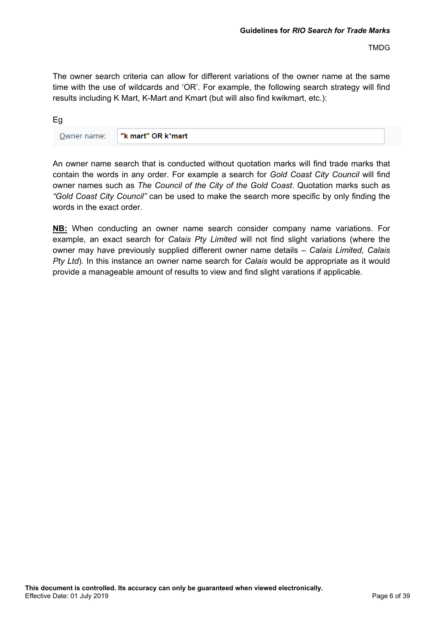The owner search criteria can allow for different variations of the owner name at the same time with the use of wildcards and 'OR'. For example, the following search strategy will find results including K Mart, K-Mart and Kmart (but will also find kwikmart, etc.):

Eg Owner name: "k mart" OR k\*mart

An owner name search that is conducted without quotation marks will find trade marks that contain the words in any order. For example a search for *Gold Coast City Council* will find owner names such as *The Council of the City of the Gold Coast*. Quotation marks such as *"Gold Coast City Council"* can be used to make the search more specific by only finding the words in the exact order.

**NB:** When conducting an owner name search consider company name variations. For example, an exact search for *Calais Pty Limited* will not find slight variations (where the owner may have previously supplied different owner name details – *Calais Limited, Calais Pty Ltd*). In this instance an owner name search for *Calais* would be appropriate as it would provide a manageable amount of results to view and find slight varations if applicable.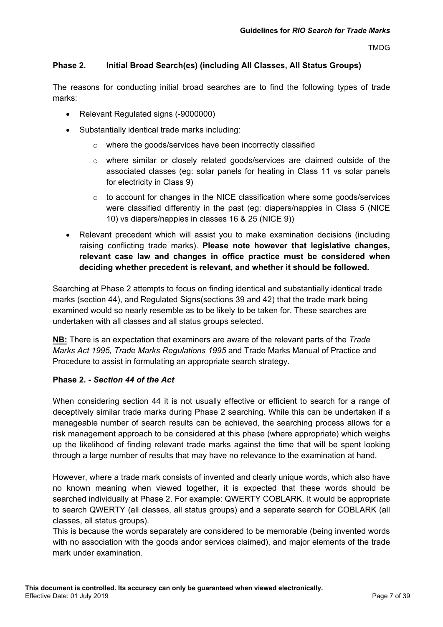## <span id="page-6-0"></span>**Phase 2. Initial Broad Search(es) (including All Classes, All Status Groups)**

The reasons for conducting initial broad searches are to find the following types of trade marks:

- Relevant Regulated signs (-9000000)
- Substantially identical trade marks including:
	- o where the goods/services have been incorrectly classified
	- o where similar or closely related goods/services are claimed outside of the associated classes (eg: solar panels for heating in Class 11 vs solar panels for electricity in Class 9)
	- $\circ$  to account for changes in the NICE classification where some goods/services were classified differently in the past (eg: diapers/nappies in Class 5 (NICE 10) vs diapers/nappies in classes 16 & 25 (NICE 9))
- Relevant precedent which will assist you to make examination decisions (including raising conflicting trade marks). **Please note however that legislative changes, relevant case law and changes in office practice must be considered when deciding whether precedent is relevant, and whether it should be followed.**

Searching at Phase 2 attempts to focus on finding identical and substantially identical trade marks (section 44), and Regulated Signs(sections 39 and 42) that the trade mark being examined would so nearly resemble as to be likely to be taken for. These searches are undertaken with all classes and all status groups selected.

**NB:** There is an expectation that examiners are aware of the relevant parts of the *Trade Marks Act 1995, Trade Marks Regulations 1995* and Trade Marks Manual of Practice and Procedure to assist in formulating an appropriate search strategy.

## **Phase 2. -** *Section 44 of the Act*

When considering section 44 it is not usually effective or efficient to search for a range of deceptively similar trade marks during Phase 2 searching. While this can be undertaken if a manageable number of search results can be achieved, the searching process allows for a risk management approach to be considered at this phase (where appropriate) which weighs up the likelihood of finding relevant trade marks against the time that will be spent looking through a large number of results that may have no relevance to the examination at hand.

However, where a trade mark consists of invented and clearly unique words, which also have no known meaning when viewed together, it is expected that these words should be searched individually at Phase 2. For example: QWERTY COBLARK. It would be appropriate to search QWERTY (all classes, all status groups) and a separate search for COBLARK (all classes, all status groups).

This is because the words separately are considered to be memorable (being invented words with no association with the goods andor services claimed), and major elements of the trade mark under examination.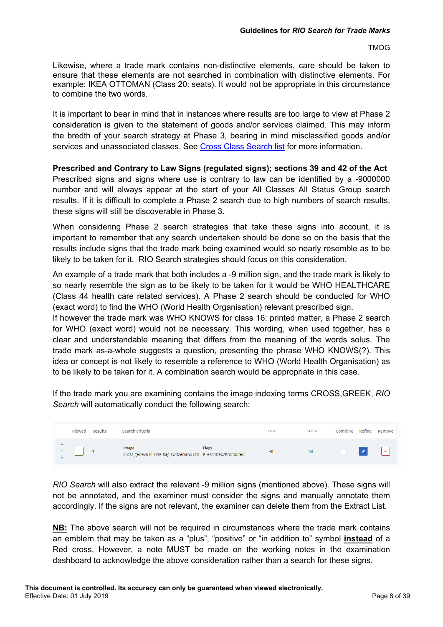Likewise, where a trade mark contains non-distinctive elements, care should be taken to ensure that these elements are not searched in combination with distinctive elements. For example: IKEA OTTOMAN (Class 20: seats). It would not be appropriate in this circumstance to combine the two words.

It is important to bear in mind that in instances where results are too large to view at Phase 2 consideration is given to the statement of goods and/or services claimed. This may inform the bredth of your search strategy at Phase 3, bearing in mind misclassified goods and/or services and unassociated classes. See [Cross Class Search list](http://docstore.aipo.gov.au/intranet/docstore/technical_communications/TM_Examiner_Manual/WebHelp/part_26_conflict_with_other_signs_-_section_44/3._cross_class_search_list.htm) for more information.

**Prescribed and Contrary to Law Signs (regulated signs); sections 39 and 42 of the Act**

Prescribed signs and signs where use is contrary to law can be identified by a -9000000 number and will always appear at the start of your All Classes All Status Group search results. If it is difficult to complete a Phase 2 search due to high numbers of search results, these signs will still be discoverable in Phase 3.

When considering Phase 2 search strategies that take these signs into account, it is important to remember that any search undertaken should be done so on the basis that the results include signs that the trade mark being examined would so nearly resemble as to be likely to be taken for it. RIO Search strategies should focus on this consideration.

An example of a trade mark that both includes a -9 million sign, and the trade mark is likely to so nearly resemble the sign as to be likely to be taken for it would be WHO HEALTHCARE (Class 44 health care related services). A Phase 2 search should be conducted for WHO (exact word) to find the WHO (World Health Organisation) relevant prescribed sign.

If however the trade mark was WHO KNOWS for class 16: printed matter, a Phase 2 search for WHO (exact word) would not be necessary. This wording, when used together, has a clear and understandable meaning that differs from the meaning of the words solus. The trade mark as-a-whole suggests a question, presenting the phrase WHO KNOWS(?). This idea or concept is not likely to resemble a reference to WHO (World Health Organisation) as to be likely to be taken for it. A combination search would be appropriate in this case.

If the trade mark you are examining contains the image indexing terms CROSS,GREEK, *RIO Search* will automatically conduct the following search:

|                  | Viewed | <b>Results</b> | Search criteria                                                             |       | Class | <b>Status</b> | Combine | Refine | Remove                   |
|------------------|--------|----------------|-----------------------------------------------------------------------------|-------|-------|---------------|---------|--------|--------------------------|
| $\blacktriangle$ |        |                | Image<br>cross, geneva (EI) OR flag, switzerland (EI) Prescribed/Prohibited | Flags | All   | All           |         |        | $\overline{\phantom{a}}$ |

*RIO Search* will also extract the relevant -9 million signs (mentioned above). These signs will not be annotated, and the examiner must consider the signs and manually annotate them accordingly. If the signs are not relevant, the examiner can delete them from the Extract List.

**NB:** The above search will not be required in circumstances where the trade mark contains an emblem that may be taken as a "plus", "positive" or "in addition to" symbol **instead** of a Red cross. However, a note MUST be made on the working notes in the examination dashboard to acknowledge the above consideration rather than a search for these signs.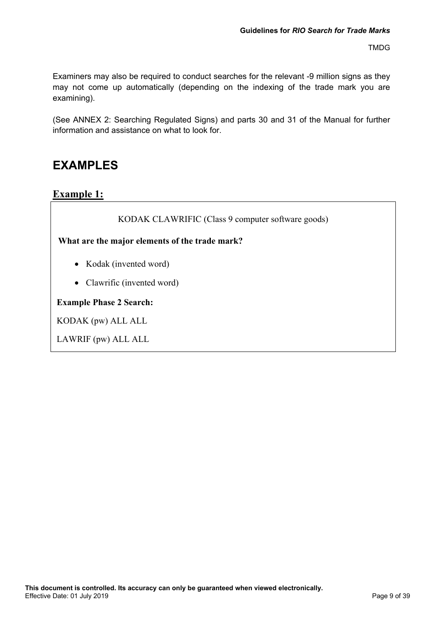Examiners may also be required to conduct searches for the relevant -9 million signs as they may not come up automatically (depending on the indexing of the trade mark you are examining).

(See ANNEX 2: Searching Regulated Signs) and parts 30 and 31 of the Manual for further information and assistance on what to look for.

## **EXAMPLES**

**Example 1:** 

KODAK CLAWRIFIC (Class 9 computer software goods)

**What are the major elements of the trade mark?**

- Kodak (invented word)
- Clawrific (invented word)

**Example Phase 2 Search:**

KODAK (pw) ALL ALL

LAWRIF (pw) ALL ALL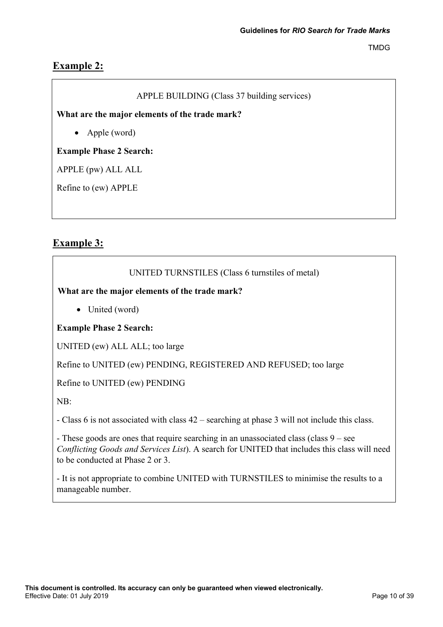## **Example 2:**

## APPLE BUILDING (Class 37 building services)

**What are the major elements of the trade mark?**

• Apple (word)

## **Example Phase 2 Search:**

APPLE (pw) ALL ALL

Refine to (ew) APPLE

## **Example 3:**

## UNITED TURNSTILES (Class 6 turnstiles of metal)

## **What are the major elements of the trade mark?**

• United (word)

## **Example Phase 2 Search:**

UNITED (ew) ALL ALL; too large

Refine to UNITED (ew) PENDING, REGISTERED AND REFUSED; too large

Refine to UNITED (ew) PENDING

NB:

- Class 6 is not associated with class 42 – searching at phase 3 will not include this class.

- These goods are ones that require searching in an unassociated class (class 9 – see *Conflicting Goods and Services List*). A search for UNITED that includes this class will need to be conducted at Phase 2 or 3.

- It is not appropriate to combine UNITED with TURNSTILES to minimise the results to a manageable number.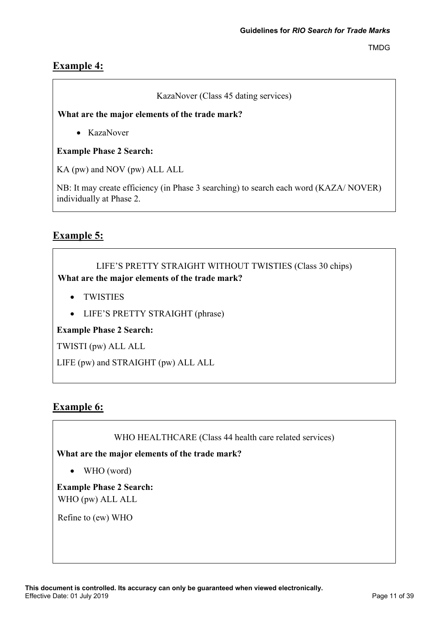## **Example 4:**

## KazaNover (Class 45 dating services)

## **What are the major elements of the trade mark?**

• KazaNover

## **Example Phase 2 Search:**

KA (pw) and NOV (pw) ALL ALL

NB: It may create efficiency (in Phase 3 searching) to search each word (KAZA/ NOVER) individually at Phase 2.

## **Example 5:**

## LIFE'S PRETTY STRAIGHT WITHOUT TWISTIES (Class 30 chips) **What are the major elements of the trade mark?**

- TWISTIES
- LIFE'S PRETTY STRAIGHT (phrase)

## **Example Phase 2 Search:**

TWISTI (pw) ALL ALL

LIFE (pw) and STRAIGHT (pw) ALL ALL

## **Example 6:**

WHO HEALTHCARE (Class 44 health care related services)

**What are the major elements of the trade mark?**

• WHO (word)

**Example Phase 2 Search:** WHO (pw) ALL ALL

Refine to (ew) WHO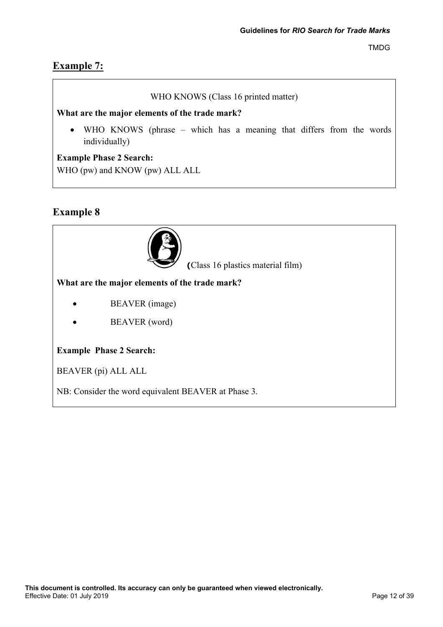## **Example 7:**

## WHO KNOWS (Class 16 printed matter)

## **What are the major elements of the trade mark?**

• WHO KNOWS (phrase – which has a meaning that differs from the words individually)

## **Example Phase 2 Search:**

WHO (pw) and KNOW (pw) ALL ALL

## **Example 8**



**(**Class 16 plastics material film)

## **What are the major elements of the trade mark?**

- BEAVER (image)
- BEAVER (word)

## **Example Phase 2 Search:**

BEAVER (pi) ALL ALL

NB: Consider the word equivalent BEAVER at Phase 3.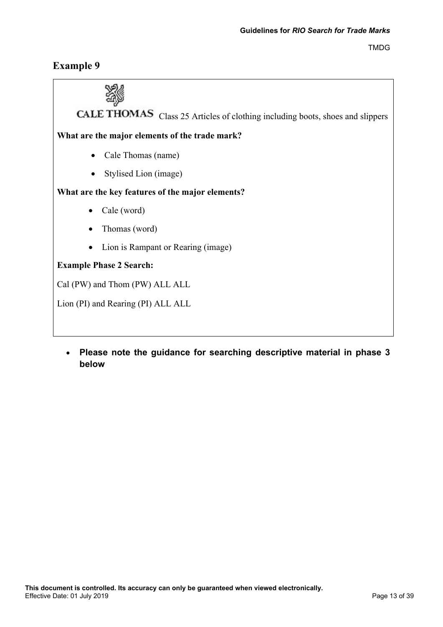## **Example 9**



• **Please note the guidance for searching descriptive material in phase 3 below**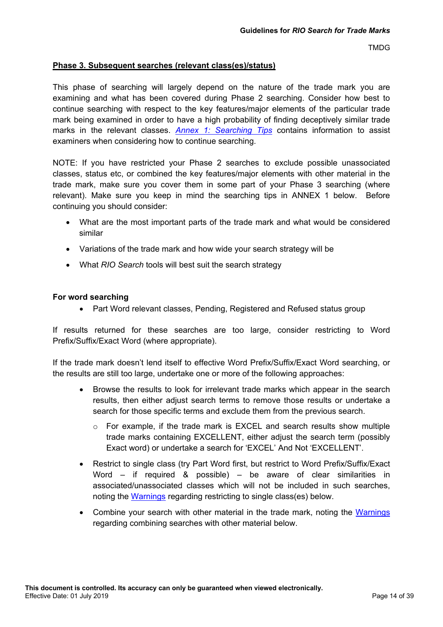#### <span id="page-13-0"></span>**Phase 3. Subsequent searches (relevant class(es)/status)**

This phase of searching will largely depend on the nature of the trade mark you are examining and what has been covered during Phase 2 searching. Consider how best to continue searching with respect to the key features/major elements of the particular trade mark being examined in order to have a high probability of finding deceptively similar trade marks in the relevant classes. *[Annex 1: Searching](#page-25-0) Tips* contains information to assist examiners when considering how to continue searching.

NOTE: If you have restricted your Phase 2 searches to exclude possible unassociated classes, status etc, or combined the key features/major elements with other material in the trade mark, make sure you cover them in some part of your Phase 3 searching (where relevant). Make sure you keep in mind the searching tips in ANNEX 1 below. Before continuing you should consider:

- What are the most important parts of the trade mark and what would be considered similar
- Variations of the trade mark and how wide your search strategy will be
- What *RIO Search* tools will best suit the search strategy

#### **For word searching**

• Part Word relevant classes, Pending, Registered and Refused status group

If results returned for these searches are too large, consider restricting to Word Prefix/Suffix/Exact Word (where appropriate).

If the trade mark doesn't lend itself to effective Word Prefix/Suffix/Exact Word searching, or the results are still too large, undertake one or more of the following approaches:

- Browse the results to look for irrelevant trade marks which appear in the search results, then either adjust search terms to remove those results or undertake a search for those specific terms and exclude them from the previous search.
	- $\circ$  For example, if the trade mark is EXCEL and search results show multiple trade marks containing EXCELLENT, either adjust the search term (possibly Exact word) or undertake a search for 'EXCEL' And Not 'EXCELLENT'.
- Restrict to single class (try Part Word first, but restrict to Word Prefix/Suffix/Exact Word – if required & possible) – be aware of clear similarities in associated/unassociated classes which will not be included in such searches, noting the [Warnings](#page-16-0) regarding restricting to single class(es) below.
- Combine your search with other material in the trade mark, noting the [Warnings](#page-16-0) regarding combining searches with other material below.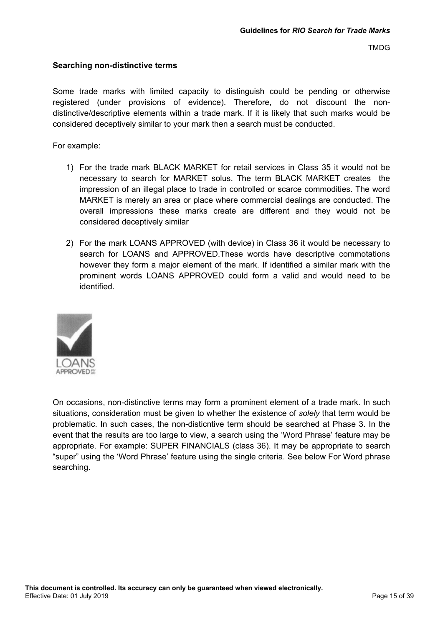#### **Searching non-distinctive terms**

Some trade marks with limited capacity to distinguish could be pending or otherwise registered (under provisions of evidence). Therefore, do not discount the nondistinctive/descriptive elements within a trade mark. If it is likely that such marks would be considered deceptively similar to your mark then a search must be conducted.

For example:

- 1) For the trade mark BLACK MARKET for retail services in Class 35 it would not be necessary to search for MARKET solus. The term BLACK MARKET creates the impression of an illegal place to trade in controlled or scarce commodities. The word MARKET is merely an area or place where commercial dealings are conducted. The overall impressions these marks create are different and they would not be considered deceptively similar
- 2) For the mark LOANS APPROVED (with device) in Class 36 it would be necessary to search for LOANS and APPROVED.These words have descriptive commotations however they form a major element of the mark. If identified a similar mark with the prominent words LOANS APPROVED could form a valid and would need to be identified.



On occasions, non-distinctive terms may form a prominent element of a trade mark. In such situations, consideration must be given to whether the existence of *solely* that term would be problematic. In such cases, the non-disticntive term should be searched at Phase 3. In the event that the results are too large to view, a search using the 'Word Phrase' feature may be appropriate. For example: SUPER FINANCIALS (class 36). It may be appropriate to search "super" using the 'Word Phrase' feature using the single criteria. See below For Word phrase searching.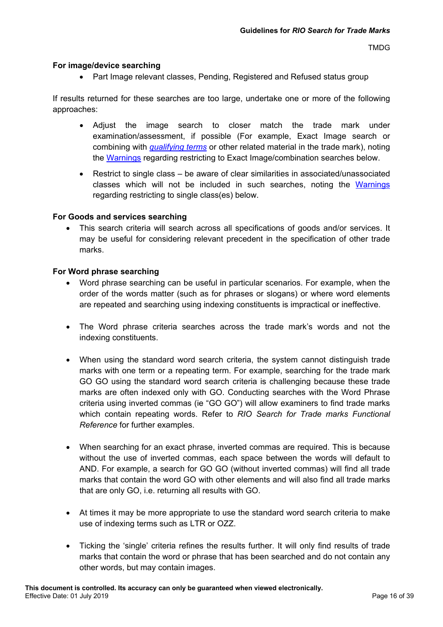#### **For image/device searching**

• Part Image relevant classes, Pending, Registered and Refused status group

If results returned for these searches are too large, undertake one or more of the following approaches:

- Adjust the image search to closer match the trade mark under examination/assessment, if possible (For example, Exact Image search or combining with *[qualifying terms](http://intranet/atmoss/falcon/help/glossary/devices.htm)* or other related material in the trade mark), noting the [Warnings](#page-16-0) regarding restricting to Exact Image/combination searches below.
- Restrict to single class be aware of clear similarities in associated/unassociated classes which will not be included in such searches, noting the [Warnings](#page-16-0) regarding restricting to single class(es) below.

#### **For Goods and services searching**

• This search criteria will search across all specifications of goods and/or services. It may be useful for considering relevant precedent in the specification of other trade marks.

#### **For Word phrase searching**

- Word phrase searching can be useful in particular scenarios. For example, when the order of the words matter (such as for phrases or slogans) or where word elements are repeated and searching using indexing constituents is impractical or ineffective.
- The Word phrase criteria searches across the trade mark's words and not the indexing constituents.
- When using the standard word search criteria, the system cannot distinguish trade marks with one term or a repeating term. For example, searching for the trade mark GO GO using the standard word search criteria is challenging because these trade marks are often indexed only with GO. Conducting searches with the Word Phrase criteria using inverted commas (ie "GO GO") will allow examiners to find trade marks which contain repeating words. Refer to *RIO Search for Trade marks Functional Reference* for further examples.
- When searching for an exact phrase, inverted commas are required. This is because without the use of inverted commas, each space between the words will default to AND. For example, a search for GO GO (without inverted commas) will find all trade marks that contain the word GO with other elements and will also find all trade marks that are only GO, i.e. returning all results with GO.
- At times it may be more appropriate to use the standard word search criteria to make use of indexing terms such as LTR or OZZ.
- Ticking the 'single' criteria refines the results further. It will only find results of trade marks that contain the word or phrase that has been searched and do not contain any other words, but may contain images.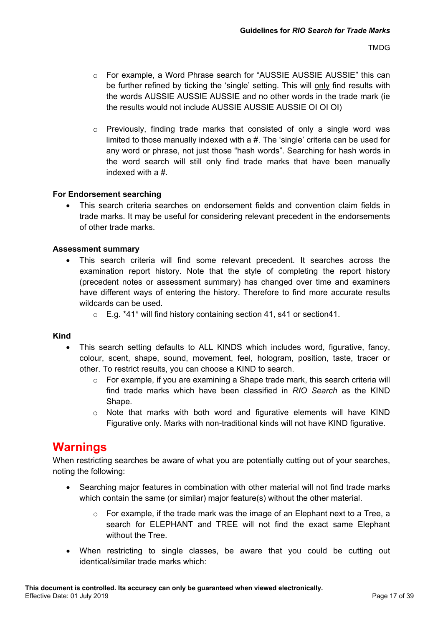- o For example, a Word Phrase search for "AUSSIE AUSSIE AUSSIE" this can be further refined by ticking the 'single' setting. This will only find results with the words AUSSIE AUSSIE AUSSIE and no other words in the trade mark (ie the results would not include AUSSIE AUSSIE AUSSIE OI OI OI)
- $\circ$  Previously, finding trade marks that consisted of only a single word was limited to those manually indexed with a #. The 'single' criteria can be used for any word or phrase, not just those "hash words". Searching for hash words in the word search will still only find trade marks that have been manually indexed with a #.

#### **For Endorsement searching**

• This search criteria searches on endorsement fields and convention claim fields in trade marks. It may be useful for considering relevant precedent in the endorsements of other trade marks.

#### **Assessment summary**

- This search criteria will find some relevant precedent. It searches across the examination report history. Note that the style of completing the report history (precedent notes or assessment summary) has changed over time and examiners have different ways of entering the history. Therefore to find more accurate results wildcards can be used.
	- $\circ$  E.g. \*41\* will find history containing section 41, s41 or section 41.

#### **Kind**

- This search setting defaults to ALL KINDS which includes word, figurative, fancy, colour, scent, shape, sound, movement, feel, hologram, position, taste, tracer or other. To restrict results, you can choose a KIND to search.
	- $\circ$  For example, if you are examining a Shape trade mark, this search criteria will find trade marks which have been classified in *RIO Search* as the KIND Shape.
	- $\circ$  Note that marks with both word and figurative elements will have KIND Figurative only. Marks with non-traditional kinds will not have KIND figurative.

## <span id="page-16-0"></span>**Warnings**

When restricting searches be aware of what you are potentially cutting out of your searches, noting the following:

- Searching major features in combination with other material will not find trade marks which contain the same (or similar) major feature(s) without the other material.
	- $\circ$  For example, if the trade mark was the image of an Elephant next to a Tree, a search for ELEPHANT and TREE will not find the exact same Elephant without the Tree.
- When restricting to single classes, be aware that you could be cutting out identical/similar trade marks which: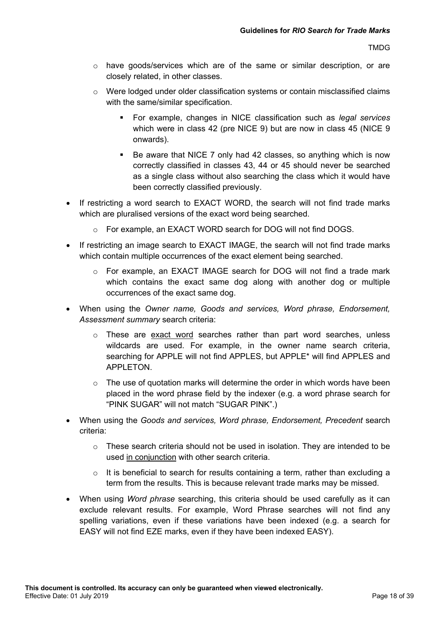- o have goods/services which are of the same or similar description, or are closely related, in other classes.
- $\circ$  Were lodged under older classification systems or contain misclassified claims with the same/similar specification.
	- For example, changes in NICE classification such as *legal services* which were in class 42 (pre NICE 9) but are now in class 45 (NICE 9) onwards).
	- Be aware that NICE 7 only had 42 classes, so anything which is now correctly classified in classes 43, 44 or 45 should never be searched as a single class without also searching the class which it would have been correctly classified previously.
- If restricting a word search to EXACT WORD, the search will not find trade marks which are pluralised versions of the exact word being searched.
	- o For example, an EXACT WORD search for DOG will not find DOGS.
- If restricting an image search to EXACT IMAGE, the search will not find trade marks which contain multiple occurrences of the exact element being searched.
	- o For example, an EXACT IMAGE search for DOG will not find a trade mark which contains the exact same dog along with another dog or multiple occurrences of the exact same dog.
- When using the *Owner name, Goods and services, Word phrase, Endorsement, Assessment summary* search criteria:
	- o These are exact word searches rather than part word searches, unless wildcards are used. For example, in the owner name search criteria, searching for APPLE will not find APPLES, but APPLE\* will find APPLES and APPLETON.
	- $\circ$  The use of quotation marks will determine the order in which words have been placed in the word phrase field by the indexer (e.g. a word phrase search for "PINK SUGAR" will not match "SUGAR PINK".)
- When using the *Goods and services, Word phrase, Endorsement, Precedent* search criteria:
	- o These search criteria should not be used in isolation. They are intended to be used in conjunction with other search criteria.
	- $\circ$  It is beneficial to search for results containing a term, rather than excluding a term from the results. This is because relevant trade marks may be missed.
- When using *Word phrase* searching, this criteria should be used carefully as it can exclude relevant results. For example, Word Phrase searches will not find any spelling variations, even if these variations have been indexed (e.g. a search for EASY will not find EZE marks, even if they have been indexed EASY).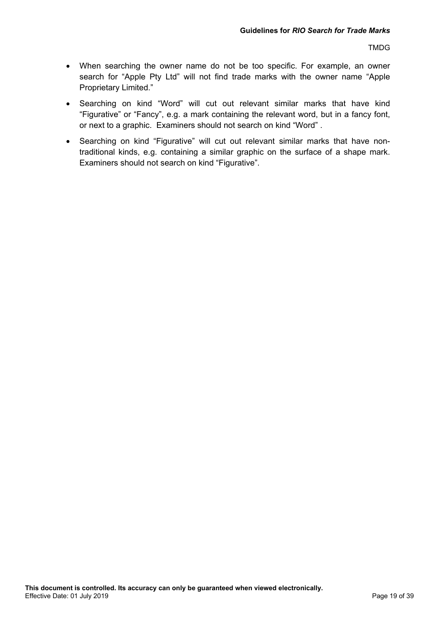- When searching the owner name do not be too specific. For example, an owner search for "Apple Pty Ltd" will not find trade marks with the owner name "Apple Proprietary Limited."
- Searching on kind "Word" will cut out relevant similar marks that have kind "Figurative" or "Fancy", e.g. a mark containing the relevant word, but in a fancy font, or next to a graphic. Examiners should not search on kind "Word" .
- Searching on kind "Figurative" will cut out relevant similar marks that have nontraditional kinds, e.g. containing a similar graphic on the surface of a shape mark. Examiners should not search on kind "Figurative".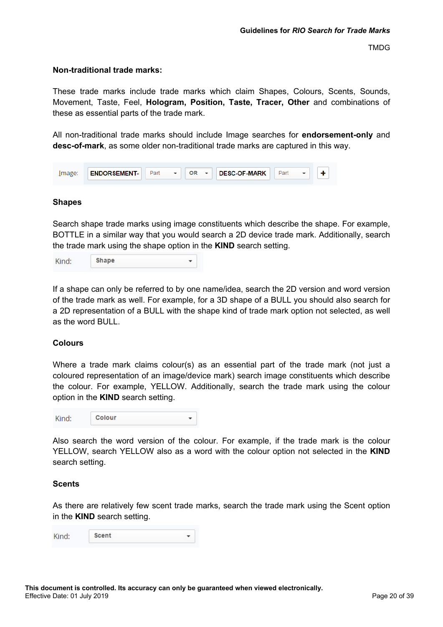#### <span id="page-19-0"></span>**Non-traditional trade marks:**

These trade marks include trade marks which claim Shapes, Colours, Scents, Sounds, Movement, Taste, Feel, **Hologram, Position, Taste, Tracer, Other** and combinations of these as essential parts of the trade mark.

All non-traditional trade marks should include Image searches for **endorsement-only** and **desc-of-mark**, as some older non-traditional trade marks are captured in this way.

| lmage: | <b>ENDORSEMENT-</b> | Part | <b>DESC-OF-MARK</b><br>OR |  |
|--------|---------------------|------|---------------------------|--|
|        |                     |      |                           |  |

#### **Shapes**

Search shape trade marks using image constituents which describe the shape. For example, BOTTLE in a similar way that you would search a 2D device trade mark. Additionally, search the trade mark using the shape option in the **KIND** search setting.

| Kind: | <b>Shape</b> |  |
|-------|--------------|--|
|-------|--------------|--|

If a shape can only be referred to by one name/idea, search the 2D version and word version of the trade mark as well. For example, for a 3D shape of a BULL you should also search for a 2D representation of a BULL with the shape kind of trade mark option not selected, as well as the word BULL.

#### **Colours**

Where a trade mark claims colour(s) as an essential part of the trade mark (not just a coloured representation of an image/device mark) search image constituents which describe the colour. For example, YELLOW. Additionally, search the trade mark using the colour option in the **KIND** search setting.

| Kind: | Colour |  |
|-------|--------|--|
|-------|--------|--|

Also search the word version of the colour. For example, if the trade mark is the colour YELLOW, search YELLOW also as a word with the colour option not selected in the **KIND** search setting.

#### **Scents**

As there are relatively few scent trade marks, search the trade mark using the Scent option in the **KIND** search setting.

| Kind: | <b>Scent</b> |  |
|-------|--------------|--|
|-------|--------------|--|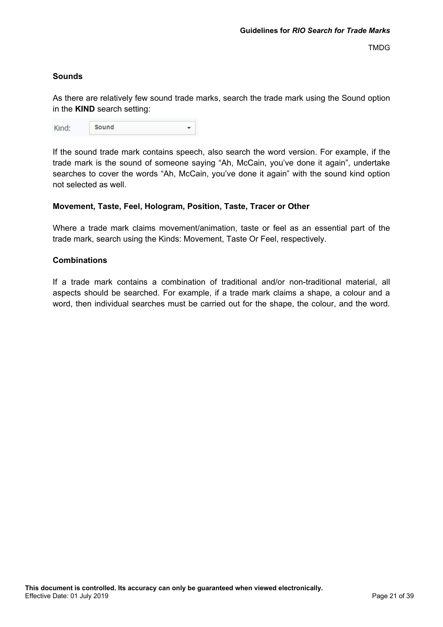## **Sounds**

As there are relatively few sound trade marks, search the trade mark using the Sound option in the **KIND** search setting:

| Kind: | Sound |  |
|-------|-------|--|
|       |       |  |

If the sound trade mark contains speech, also search the word version. For example, if the trade mark is the sound of someone saying "Ah, McCain, you've done it again", undertake searches to cover the words "Ah, McCain, you've done it again" with the sound kind option not selected as well.

## **Movement, Taste, Feel, Hologram, Position, Taste, Tracer or Other**

Where a trade mark claims movement/animation, taste or feel as an essential part of the trade mark, search using the Kinds: Movement, Taste Or Feel, respectively.

## **Combinations**

If a trade mark contains a combination of traditional and/or non-traditional material, all aspects should be searched. For example, if a trade mark claims a shape, a colour and a word, then individual searches must be carried out for the shape, the colour, and the word.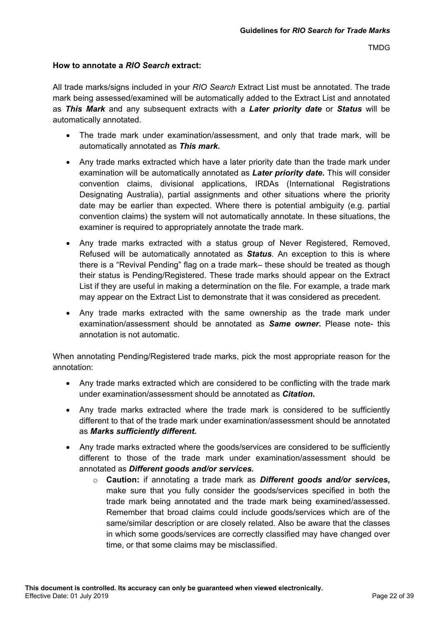#### <span id="page-21-0"></span>**How to annotate a** *RIO Search* **extract:**

All trade marks/signs included in your *RIO Search* Extract List must be annotated. The trade mark being assessed/examined will be automatically added to the Extract List and annotated as *This Mark* and any subsequent extracts with a *Later priority date* or *Status* will be automatically annotated.

- The trade mark under examination/assessment, and only that trade mark, will be automatically annotated as *This mark.*
- Any trade marks extracted which have a later priority date than the trade mark under examination will be automatically annotated as *Later priority date***.** This will consider convention claims, divisional applications, IRDAs (International Registrations Designating Australia), partial assignments and other situations where the priority date may be earlier than expected. Where there is potential ambiguity (e.g. partial convention claims) the system will not automatically annotate. In these situations, the examiner is required to appropriately annotate the trade mark.
- Any trade marks extracted with a status group of Never Registered, Removed, Refused will be automatically annotated as *Status*. An exception to this is where there is a "Revival Pending" flag on a trade mark– these should be treated as though their status is Pending/Registered. These trade marks should appear on the Extract List if they are useful in making a determination on the file. For example, a trade mark may appear on the Extract List to demonstrate that it was considered as precedent.
- Any trade marks extracted with the same ownership as the trade mark under examination/assessment should be annotated as *Same owner***.** Please note- this annotation is not automatic.

When annotating Pending/Registered trade marks, pick the most appropriate reason for the annotation:

- Any trade marks extracted which are considered to be conflicting with the trade mark under examination/assessment should be annotated as *Citation***.**
- Any trade marks extracted where the trade mark is considered to be sufficiently different to that of the trade mark under examination/assessment should be annotated as *Marks sufficiently different.*
- Any trade marks extracted where the goods/services are considered to be sufficiently different to those of the trade mark under examination/assessment should be annotated as *Different goods and/or services.*
	- o **Caution:** if annotating a trade mark as *Different goods and/or services***,** make sure that you fully consider the goods/services specified in both the trade mark being annotated and the trade mark being examined/assessed. Remember that broad claims could include goods/services which are of the same/similar description or are closely related. Also be aware that the classes in which some goods/services are correctly classified may have changed over time, or that some claims may be misclassified.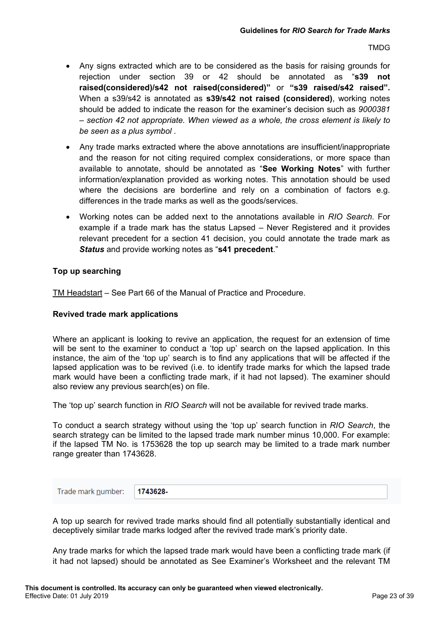- Any signs extracted which are to be considered as the basis for raising grounds for rejection under section 39 or 42 should be annotated as "**s39 not raised(considered)/s42 not raised(considered)"** or **"s39 raised/s42 raised".**  When a s39/s42 is annotated as **s39/s42 not raised (considered)**, working notes should be added to indicate the reason for the examiner's decision such as *9000381 – section 42 not appropriate. When viewed as a whole, the cross element is likely to be seen as a plus symbol .*
- Any trade marks extracted where the above annotations are insufficient/inappropriate and the reason for not citing required complex considerations, or more space than available to annotate, should be annotated as "**See Working Notes**" with further information/explanation provided as working notes. This annotation should be used where the decisions are borderline and rely on a combination of factors e.g. differences in the trade marks as well as the goods/services.
- Working notes can be added next to the annotations available in *RIO Search*. For example if a trade mark has the status Lapsed – Never Registered and it provides relevant precedent for a section 41 decision, you could annotate the trade mark as *Status* and provide working notes as "**s41 precedent**."

## <span id="page-22-0"></span>**Top up searching**

TM Headstart – See Part 66 of the Manual of Practice and Procedure.

#### **Revived trade mark applications**

Where an applicant is looking to revive an application, the request for an extension of time will be sent to the examiner to conduct a 'top up' search on the lapsed application. In this instance, the aim of the 'top up' search is to find any applications that will be affected if the lapsed application was to be revived (i.e. to identify trade marks for which the lapsed trade mark would have been a conflicting trade mark, if it had not lapsed). The examiner should also review any previous search(es) on file.

The 'top up' search function in *RIO Search* will not be available for revived trade marks.

To conduct a search strategy without using the 'top up' search function in *RIO Search*, the search strategy can be limited to the lapsed trade mark number minus 10,000. For example: if the lapsed TM No. is 1753628 the top up search may be limited to a trade mark number range greater than 1743628.

| Trade mark number: 1743628- |  |  |
|-----------------------------|--|--|
|-----------------------------|--|--|

A top up search for revived trade marks should find all potentially substantially identical and deceptively similar trade marks lodged after the revived trade mark's priority date.

Any trade marks for which the lapsed trade mark would have been a conflicting trade mark (if it had not lapsed) should be annotated as See Examiner's Worksheet and the relevant TM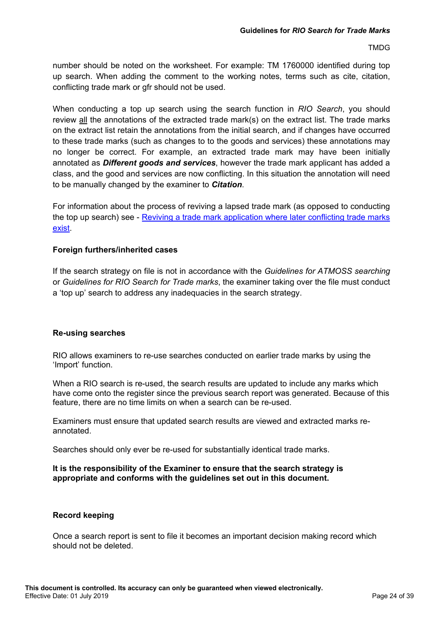number should be noted on the worksheet. For example: TM 1760000 identified during top up search. When adding the comment to the working notes, terms such as cite, citation, conflicting trade mark or gfr should not be used.

When conducting a top up search using the search function in *RIO Search*, you should review all the annotations of the extracted trade mark(s) on the extract list. The trade marks on the extract list retain the annotations from the initial search, and if changes have occurred to these trade marks (such as changes to to the goods and services) these annotations may no longer be correct. For example, an extracted trade mark may have been initially annotated as *Different goods and services*, however the trade mark applicant has added a class, and the good and services are now conflicting. In this situation the annotation will need to be manually changed by the examiner to *Citation*.

For information about the process of reviving a lapsed trade mark (as opposed to conducting the top up search) see - [Reviving a trade mark application where later conflicting trade marks](http://docstore.aipo.gov.au/intranet/docstore/technical_communications/TM_Examiner_Manual/WebHelp/part_65_resources_for_team_leaders/65.6_reviving_a_tm_app_where_later_conflicting_tm_exists.htm)  [exist.](http://docstore.aipo.gov.au/intranet/docstore/technical_communications/TM_Examiner_Manual/WebHelp/part_65_resources_for_team_leaders/65.6_reviving_a_tm_app_where_later_conflicting_tm_exists.htm)

## **Foreign furthers/inherited cases**

If the search strategy on file is not in accordance with the *Guidelines for ATMOSS searching* or *Guidelines for RIO Search for Trade marks*, the examiner taking over the file must conduct a 'top up' search to address any inadequacies in the search strategy.

## <span id="page-23-0"></span>**Re-using searches**

RIO allows examiners to re-use searches conducted on earlier trade marks by using the 'Import' function.

When a RIO search is re-used, the search results are updated to include any marks which have come onto the register since the previous search report was generated. Because of this feature, there are no time limits on when a search can be re-used.

Examiners must ensure that updated search results are viewed and extracted marks reannotated.

Searches should only ever be re-used for substantially identical trade marks.

#### **It is the responsibility of the Examiner to ensure that the search strategy is appropriate and conforms with the guidelines set out in this document.**

## **Record keeping**

Once a search report is sent to file it becomes an important decision making record which should not be deleted.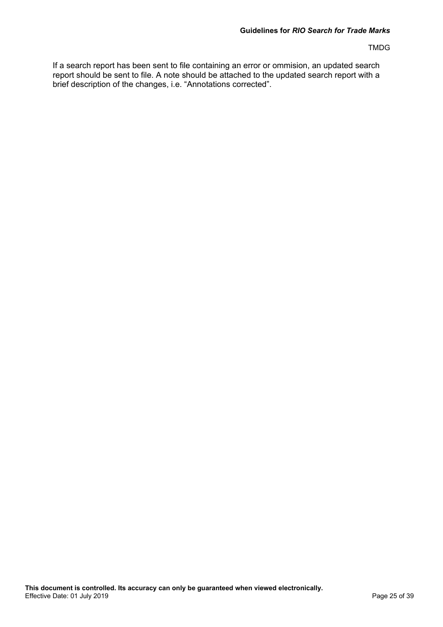If a search report has been sent to file containing an error or ommision, an updated search report should be sent to file. A note should be attached to the updated search report with a brief description of the changes, i.e. "Annotations corrected".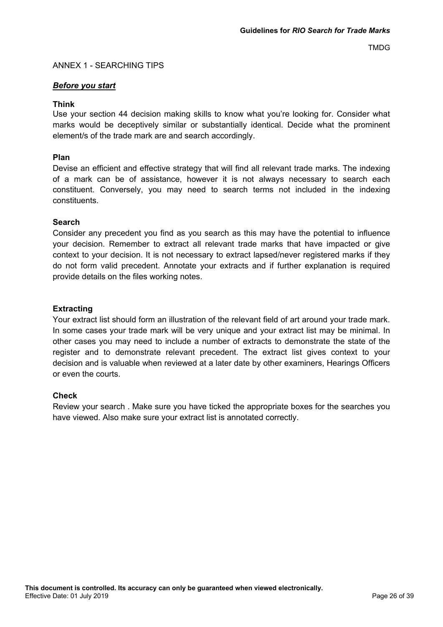#### <span id="page-25-0"></span>ANNEX 1 - SEARCHING TIPS

#### *Before you start*

#### **Think**

Use your section 44 decision making skills to know what you're looking for. Consider what marks would be deceptively similar or substantially identical. Decide what the prominent element/s of the trade mark are and search accordingly.

#### **Plan**

Devise an efficient and effective strategy that will find all relevant trade marks. The indexing of a mark can be of assistance, however it is not always necessary to search each constituent. Conversely, you may need to search terms not included in the indexing constituents.

#### **Search**

Consider any precedent you find as you search as this may have the potential to influence your decision. Remember to extract all relevant trade marks that have impacted or give context to your decision. It is not necessary to extract lapsed/never registered marks if they do not form valid precedent. Annotate your extracts and if further explanation is required provide details on the files working notes.

#### **Extracting**

Your extract list should form an illustration of the relevant field of art around your trade mark. In some cases your trade mark will be very unique and your extract list may be minimal. In other cases you may need to include a number of extracts to demonstrate the state of the register and to demonstrate relevant precedent. The extract list gives context to your decision and is valuable when reviewed at a later date by other examiners, Hearings Officers or even the courts.

#### **Check**

Review your search . Make sure you have ticked the appropriate boxes for the searches you have viewed. Also make sure your extract list is annotated correctly.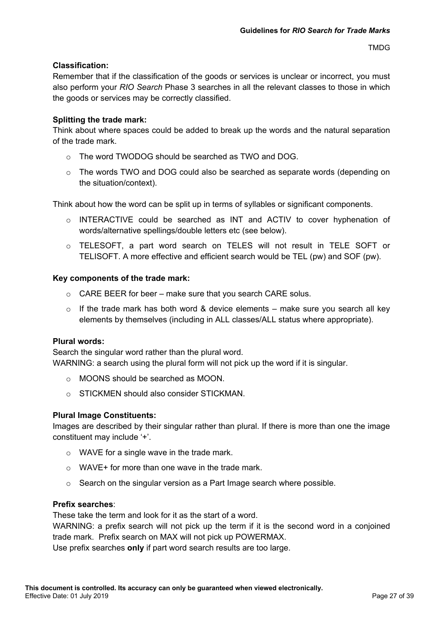#### **Classification:**

Remember that if the classification of the goods or services is unclear or incorrect, you must also perform your *RIO Search* Phase 3 searches in all the relevant classes to those in which the goods or services may be correctly classified.

#### **Splitting the trade mark:**

Think about where spaces could be added to break up the words and the natural separation of the trade mark.

- o The word TWODOG should be searched as TWO and DOG.
- o The words TWO and DOG could also be searched as separate words (depending on the situation/context).

Think about how the word can be split up in terms of syllables or significant components.

- o INTERACTIVE could be searched as INT and ACTIV to cover hyphenation of words/alternative spellings/double letters etc (see below).
- o TELESOFT, a part word search on TELES will not result in TELE SOFT or TELISOFT. A more effective and efficient search would be TEL (pw) and SOF (pw).

#### **Key components of the trade mark:**

- $\circ$  CARE BEER for beer make sure that you search CARE solus.
- $\circ$  If the trade mark has both word & device elements make sure you search all key elements by themselves (including in ALL classes/ALL status where appropriate).

#### **Plural words:**

Search the singular word rather than the plural word. WARNING: a search using the plural form will not pick up the word if it is singular.

- o MOONS should be searched as MOON.
- o STICKMEN should also consider STICKMAN.

## **Plural Image Constituents:**

Images are described by their singular rather than plural. If there is more than one the image constituent may include '+'.

- $\circ$  WAVE for a single wave in the trade mark.
- $\circ$  WAVE + for more than one wave in the trade mark.
- o Search on the singular version as a Part Image search where possible.

#### **Prefix searches**:

These take the term and look for it as the start of a word.

WARNING: a prefix search will not pick up the term if it is the second word in a conjoined trade mark. Prefix search on MAX will not pick up POWERMAX.

Use prefix searches **only** if part word search results are too large.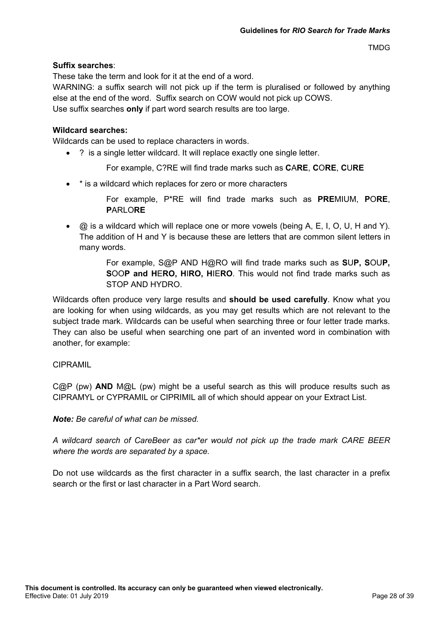## **Suffix searches**:

These take the term and look for it at the end of a word.

WARNING: a suffix search will not pick up if the term is pluralised or followed by anything else at the end of the word. Suffix search on COW would not pick up COWS. Use suffix searches **only** if part word search results are too large.

#### **Wildcard searches:**

Wildcards can be used to replace characters in words.

• ? is a single letter wildcard. It will replace exactly one single letter.

For example, C?RE will find trade marks such as **C**A**RE**, **C**O**RE**, **C**U**RE**

• \* is a wildcard which replaces for zero or more characters

For example, P\*RE will find trade marks such as **PRE**MIUM, **P**O**RE**, **P**ARLO**RE**

 $\bullet$   $\oslash$  is a wildcard which will replace one or more vowels (being A, E, I, O, U, H and Y). The addition of H and Y is because these are letters that are common silent letters in many words.

> For example, S@P AND H@RO will find trade marks such as **S**U**P, S**OU**P, S**OO**P and H**E**RO, H**I**RO, H**IE**RO**. This would not find trade marks such as STOP AND HYDRO.

Wildcards often produce very large results and **should be used carefully**. Know what you are looking for when using wildcards, as you may get results which are not relevant to the subject trade mark. Wildcards can be useful when searching three or four letter trade marks. They can also be useful when searching one part of an invented word in combination with another, for example:

## CIPRAMIL

C@P (pw) **AND** M@L (pw) might be a useful search as this will produce results such as CIPRAMYL or CYPRAMIL or CIPRIMIL all of which should appear on your Extract List.

*Note: Be careful of what can be missed.*

*A wildcard search of CareBeer as car\*er would not pick up the trade mark CARE BEER where the words are separated by a space.*

Do not use wildcards as the first character in a suffix search, the last character in a prefix search or the first or last character in a Part Word search.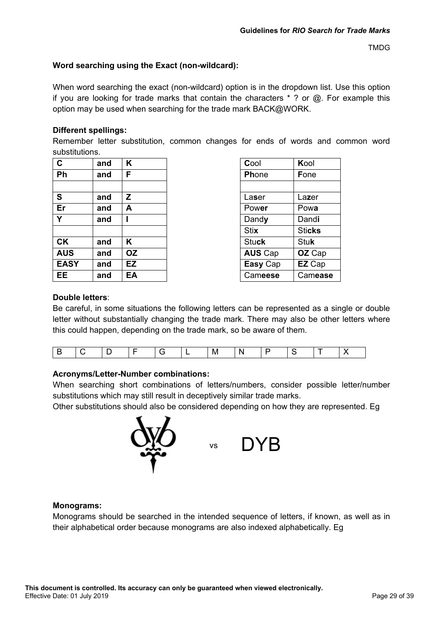## **Word searching using the Exact (non-wildcard):**

When word searching the exact (non-wildcard) option is in the dropdown list. Use this option if you are looking for trade marks that contain the characters  $*$  ? or  $\omega$ . For example this option may be used when searching for the trade mark BACK@WORK.

## **Different spellings:**

Remember letter substitution, common changes for ends of words and common word substitutions.

| $\mathbf{C}$ | and | Κ  | Cool           | Kool          |
|--------------|-----|----|----------------|---------------|
| Ph           | and | F  | Phone          | Fone          |
|              |     |    |                |               |
| S            | and | Z  | Laser          | Lazer         |
| Er           | and | А  | Power          | Powa          |
| Y            | and |    | Dandy          | Dandi         |
|              |     |    | <b>Stix</b>    | <b>Sticks</b> |
| <b>CK</b>    | and | Κ  | <b>Stuck</b>   | <b>Stuk</b>   |
| <b>AUS</b>   | and | OZ | <b>AUS Cap</b> | OZ Cap        |
| <b>EASY</b>  | and | EZ | Easy Cap       | EZ Cap        |
| EE           | and | EA | Cameese        | Camease       |

| Cool           | Kool          |
|----------------|---------------|
| Phone          | Fone          |
|                |               |
| Laser          | Lazer         |
| Power          | Powa          |
| Dandy          | Dandi         |
| Stix           | <b>Sticks</b> |
| Stuck          | <b>Stuk</b>   |
| <b>AUS Cap</b> | OZ Cap        |
| Easy Cap       | EZ Cap        |
| Cameese        | Camease       |

#### **Double letters**:

Be careful, in some situations the following letters can be represented as a single or double letter without substantially changing the trade mark. There may also be other letters where this could happen, depending on the trade mark, so be aware of them.

|--|--|--|--|--|--|--|--|--|--|--|--|--|

## **Acronyms/Letter-Number combinations:**

When searching short combinations of letters/numbers, consider possible letter/number substitutions which may still result in deceptively similar trade marks.

Other substitutions should also be considered depending on how they are represented. Eg



## **Monograms:**

Monograms should be searched in the intended sequence of letters, if known, as well as in their alphabetical order because monograms are also indexed alphabetically. Eg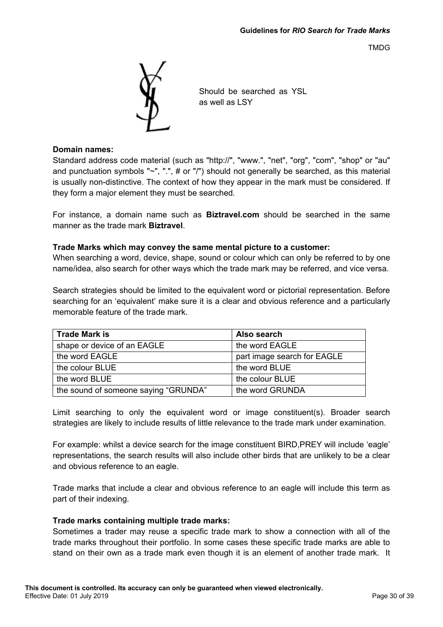

Should be searched as YSL as well as LSY

#### **Domain names:**

Standard address code material (such as "http://", "www.", "net", "org", "com", "shop" or "au" and punctuation symbols "~", ".", # or "/") should not generally be searched, as this material is usually non-distinctive. The context of how they appear in the mark must be considered. If they form a major element they must be searched.

For instance, a domain name such as **Biztravel.com** should be searched in the same manner as the trade mark **Biztravel**.

## **Trade Marks which may convey the same mental picture to a customer:**

When searching a word, device, shape, sound or colour which can only be referred to by one name/idea, also search for other ways which the trade mark may be referred, and vice versa.

Search strategies should be limited to the equivalent word or pictorial representation. Before searching for an 'equivalent' make sure it is a clear and obvious reference and a particularly memorable feature of the trade mark.

| <b>Trade Mark is</b>                 | Also search                 |
|--------------------------------------|-----------------------------|
| shape or device of an EAGLE          | the word EAGLE              |
| the word EAGLE                       | part image search for EAGLE |
| the colour BLUE                      | the word BLUE               |
| the word BLUE                        | the colour BLUE             |
| the sound of someone saying "GRUNDA" | the word GRUNDA             |

Limit searching to only the equivalent word or image constituent(s). Broader search strategies are likely to include results of little relevance to the trade mark under examination.

For example: whilst a device search for the image constituent BIRD,PREY will include 'eagle' representations, the search results will also include other birds that are unlikely to be a clear and obvious reference to an eagle.

Trade marks that include a clear and obvious reference to an eagle will include this term as part of their indexing.

## **Trade marks containing multiple trade marks:**

Sometimes a trader may reuse a specific trade mark to show a connection with all of the trade marks throughout their portfolio. In some cases these specific trade marks are able to stand on their own as a trade mark even though it is an element of another trade mark. It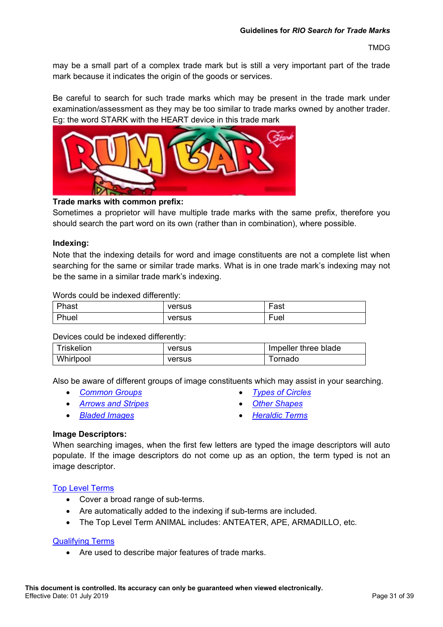may be a small part of a complex trade mark but is still a very important part of the trade mark because it indicates the origin of the goods or services.

Be careful to search for such trade marks which may be present in the trade mark under examination/assessment as they may be too similar to trade marks owned by another trader. Eg: the word STARK with the HEART device in this trade mark



## **Trade marks with common prefix:**

Sometimes a proprietor will have multiple trade marks with the same prefix, therefore you should search the part word on its own (rather than in combination), where possible.

#### **Indexing:**

Note that the indexing details for word and image constituents are not a complete list when searching for the same or similar trade marks. What is in one trade mark's indexing may not be the same in a similar trade mark's indexing.

#### Words could be indexed differently:

| Phast | versus | $\overline{\phantom{0}}$<br>Fast |
|-------|--------|----------------------------------|
| Phuel | versus | $\overline{\phantom{0}}$<br>Fuel |

#### Devices could be indexed differently:

| Triskelion | versus | Impeller three blade |
|------------|--------|----------------------|
| Whirlpool  | versus | ∣ornado              |

Also be aware of different groups of image constituents which may assist in your searching.

- *[Common Groups](http://intranet/atmoss/falcon/help/glossary/list_of_top_level_terms.htm) [Types of Circles](http://intranet/atmoss/falcon/help/glossary/examples_of_types_of_circles.htm)*
- *[Arrows and Stripes](http://intranet/atmoss/falcon/help/glossary/examples_of_arrows_and_stripes.htm) [Other Shapes](http://intranet/atmoss/falcon/help/glossary/examples_of_other_shapes.htm)*
- *[Bladed Images](http://intranet/atmoss/falcon/help/glossary/examples_of_bladed_images.htm) [Heraldic Terms](http://intranet/atmoss/falcon/help/glossary/examples_of_heraldic_terms.htm)*
- 
- 
- 

#### **Image Descriptors:**

When searching images, when the first few letters are typed the image descriptors will auto populate. If the image descriptors do not come up as an option, the term typed is not an image descriptor.

#### [Top Level Terms](http://intranet/atmoss/falcon/help/glossary/list_of_top_level_terms.htm)

- Cover a broad range of sub-terms.
- Are automatically added to the indexing if sub-terms are included.
- The Top Level Term ANIMAL includes: ANTEATER, APE, ARMADILLO, etc.

#### [Qualifying Terms](http://intranet/atmoss/falcon/help/glossary/devices.htm)

• Are used to describe major features of trade marks.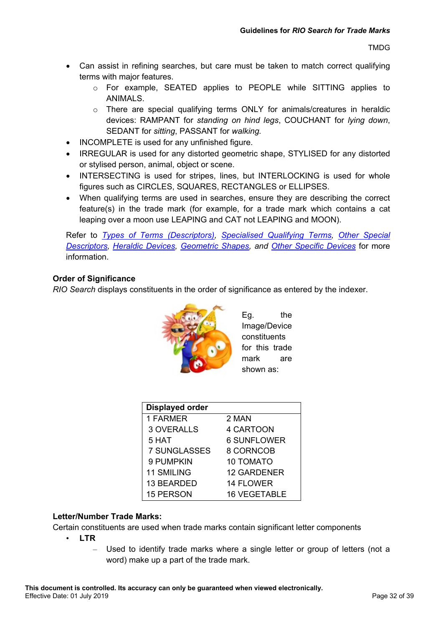- Can assist in refining searches, but care must be taken to match correct qualifying terms with major features.
	- o For example, SEATED applies to PEOPLE while SITTING applies to ANIMALS.
	- o There are special qualifying terms ONLY for animals/creatures in heraldic devices: RAMPANT for *standing on hind legs*, COUCHANT for *lying down*, SEDANT for *sitting*, PASSANT for *walking.*
- INCOMPLETE is used for any unfinished figure.
- IRREGULAR is used for any distorted geometric shape, STYLISED for any distorted or stylised person, animal, object or scene.
- INTERSECTING is used for stripes, lines, but INTERLOCKING is used for whole figures such as CIRCLES, SQUARES, RECTANGLES or ELLIPSES.
- When qualifying terms are used in searches, ensure they are describing the correct feature(s) in the trade mark (for example, for a trade mark which contains a cat leaping over a moon use LEAPING and CAT not LEAPING and MOON).

Refer to *[Types of Terms \(Descriptors\),](http://intranet/atmoss/falcon/help/glossary/devices.htm) [Specialised Qualifying Terms,](http://intranet/atmoss/falcon/help/glossary/devices.htm) [Other Special](http://intranet/atmoss/falcon/help/glossary/devices.htm)  [Descriptors, Heraldic Devices, Geometric Shapes,](http://intranet/atmoss/falcon/help/glossary/devices.htm) and [Other Specific Devices](http://intranet/atmoss/falcon/help/glossary/devices.htm)* for more information.

## **Order of Significance**

*RIO Search* displays constituents in the order of significance as entered by the indexer.



Eg. the Image/Device constituents for this trade mark are shown as:

| <b>Displayed order</b> |                     |
|------------------------|---------------------|
| 1 FARMER               | 2 MAN               |
| <b>3 OVERALLS</b>      | 4 CARTOON           |
| 5 HAT                  | <b>6 SUNFLOWER</b>  |
| <b>7 SUNGLASSES</b>    | 8 CORNCOB           |
| 9 PUMPKIN              | <b>10 TOMATO</b>    |
| <b>11 SMILING</b>      | <b>12 GARDENER</b>  |
| 13 BEARDED             | <b>14 FLOWER</b>    |
| <b>15 PERSON</b>       | <b>16 VEGETABLE</b> |

## **Letter/Number Trade Marks:**

Certain constituents are used when trade marks contain significant letter components

- **LTR**
	- Used to identify trade marks where a single letter or group of letters (not a word) make up a part of the trade mark.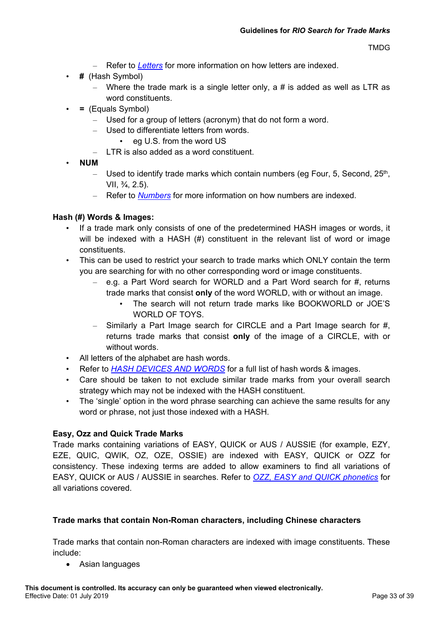- Refer to *[Letters](http://intranet/atmoss/falcon/help/glossary/word_constituents.htm)* for more information on how letters are indexed.
- **#** (Hash Symbol)
	- Where the trade mark is a single letter only, a  $\#$  is added as well as LTR as word constituents.
- **=** (Equals Symbol)
	- Used for a group of letters (acronym) that do not form a word.
	- Used to differentiate letters from words.
		- eg U.S. from the word US
	- LTR is also added as a word constituent.
- **NUM**
	- Used to identify trade marks which contain numbers (eg Four, 5, Second,  $25<sup>th</sup>$ , VII,  $\frac{3}{4}$ , 2.5).
	- Refer to *[Numbers](http://intranet/atmoss/falcon/help/glossary/word_constituents.htm)* for more information on how numbers are indexed.

## **Hash (#) Words & Images:**

- If a trade mark only consists of one of the predetermined HASH images or words, it will be indexed with a HASH (#) constituent in the relevant list of word or image constituents.
- This can be used to restrict your search to trade marks which ONLY contain the term you are searching for with no other corresponding word or image constituents.
	- $-$  e.g. a Part Word search for WORLD and a Part Word search for #, returns trade marks that consist **only** of the word WORLD, with or without an image.
		- The search will not return trade marks like BOOKWORLD or JOE'S WORLD OF TOYS.
	- Similarly a Part Image search for CIRCLE and a Part Image search for #, returns trade marks that consist **only** of the image of a CIRCLE, with or without words.
- All letters of the alphabet are hash words.
- Refer to *[HASH DEVICES AND WORDS](http://intranet/atmoss/falcon/help/glossary/list_of_top_level_terms.htm)* for a full list of hash words & images.
- Care should be taken to not exclude similar trade marks from your overall search strategy which may not be indexed with the HASH constituent.
- The 'single' option in the word phrase searching can achieve the same results for any word or phrase, not just those indexed with a HASH.

## **Easy, Ozz and Quick Trade Marks**

Trade marks containing variations of EASY, QUICK or AUS / AUSSIE (for example, EZY, EZE, QUIC, QWIK, OZ, OZE, OSSIE) are indexed with EASY, QUICK or OZZ for consistency. These indexing terms are added to allow examiners to find all variations of EASY, QUICK or AUS / AUSSIE in searches. Refer to *[OZZ, EASY and QUICK phonetics](http://intranet/atmoss/falcon/help/glossary/word_constituents.htm)* for all variations covered.

## **Trade marks that contain Non-Roman characters, including Chinese characters**

Trade marks that contain non-Roman characters are indexed with image constituents. These include:

• Asian languages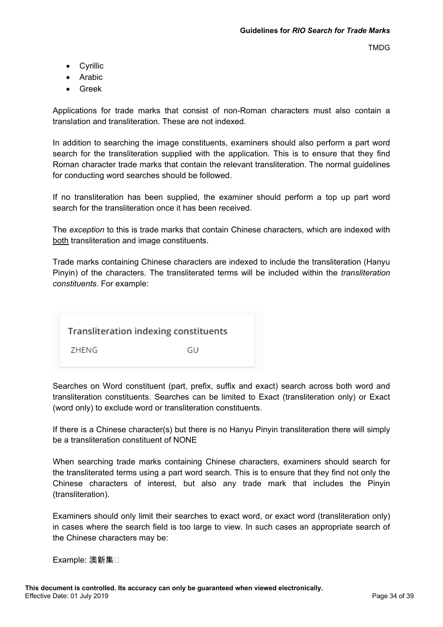- Cyrillic
- Arabic
- Greek

Applications for trade marks that consist of non-Roman characters must also contain a translation and transliteration. These are not indexed.

In addition to searching the image constituents, examiners should also perform a part word search for the transliteration supplied with the application. This is to ensure that they find Roman character trade marks that contain the relevant transliteration. The normal guidelines for conducting word searches should be followed.

If no transliteration has been supplied, the examiner should perform a top up part word search for the transliteration once it has been received.

The *exception* to this is trade marks that contain Chinese characters, which are indexed with both transliteration and image constituents.

Trade marks containing Chinese characters are indexed to include the transliteration (Hanyu Pinyin) of the characters. The transliterated terms will be included within the *transliteration constituents*. For example:



Searches on Word constituent (part, prefix, suffix and exact) search across both word and transliteration constituents. Searches can be limited to Exact (transliteration only) or Exact (word only) to exclude word or transliteration constituents.

If there is a Chinese character(s) but there is no Hanyu Pinyin transliteration there will simply be a transliteration constituent of NONE

When searching trade marks containing Chinese characters, examiners should search for the transliterated terms using a part word search. This is to ensure that they find not only the Chinese characters of interest, but also any trade mark that includes the Pinyin (transliteration).

Examiners should only limit their searches to exact word, or exact word (transliteration only) in cases where the search field is too large to view. In such cases an appropriate search of the Chinese characters may be:

Example: 澳新集□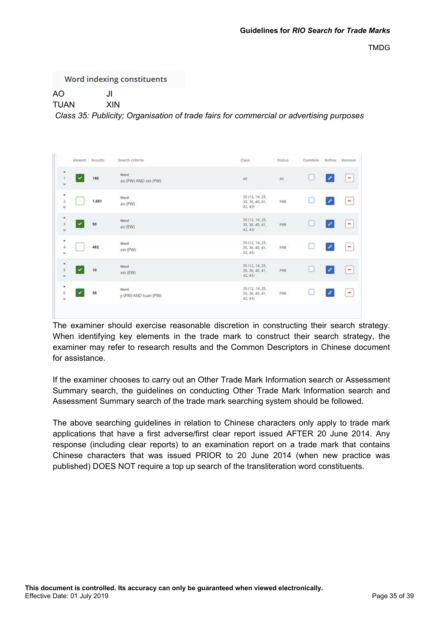Word indexing constituents

AO JI

TUAN XIN

*Class 35: Publicity; Organisation of trade fairs for commercial or advertising purposes*

| Viewed Results                       |       | Search criteria               | Class                                         | Status                         | Combine |                          | Refine Remove                |
|--------------------------------------|-------|-------------------------------|-----------------------------------------------|--------------------------------|---------|--------------------------|------------------------------|
| ۰<br>$\boldsymbol{\mathrm{u}}$       | 180   | Word<br>ao (PW) AND xin (PW)  | All                                           | All                            | с       | $\mathcal{O}$            | ۰                            |
| ۰<br>$\overline{\phantom{a}}$<br>ü   | 1,651 | <b>Word</b><br>ao (PW)        | 35 (12, 14, 25,<br>35, 36, 40, 41,<br>42, 431 | PRR                            | u       | $\mathcal{O}$            | $\overline{\phantom{m}}$     |
| ۰<br>3<br>$\circ$                    | 50    | Word<br>ao (EW)               | 35 (12, 14, 25,<br>35, 36, 40, 41,<br>42, 431 | PRR                            | ∟       | o                        | $\blacksquare$               |
| ٠<br>$\Delta$<br>$\scriptstyle\rm o$ | 462   | Word<br>xin (PW)              | 35 (12, 14, 25,<br>35, 36, 40, 41,<br>42, 43  | <b>PASSA</b><br>PRR<br>- 10-11 | L.      | $\overline{\mathscr{O}}$ | $\qquad \qquad \blacksquare$ |
| ٠<br>5<br>v                          | 10    | Word<br>xin (EW)              | 35 (12, 14, 25,<br>35, 36, 40, 41,<br>42, 43  | <b>PRR</b>                     | L       | $\mathcal{O}$            | ۰                            |
| ۰<br>$\,$<br>$\,$                    | 58    | Word<br>Ji (PW) AND tuan (PW) | 35 (12, 14, 25,<br>35, 36, 40, 41,<br>42, 43  | ر با زار د<br>PRR              | u       |                          | $\qquad \qquad \blacksquare$ |
|                                      |       |                               |                                               |                                |         |                          |                              |

The examiner should exercise reasonable discretion in constructing their search strategy. When identifying key elements in the trade mark to construct their search strategy, the examiner may refer to research results and the Common Descriptors in Chinese document for assistance.

If the examiner chooses to carry out an Other Trade Mark Information search or Assessment Summary search, the guidelines on conducting Other Trade Mark Information search and Assessment Summary search of the trade mark searching system should be followed.

The above searching guidelines in relation to Chinese characters only apply to trade mark applications that have a first adverse/first clear report issued AFTER 20 June 2014. Any response (including clear reports) to an examination report on a trade mark that contains Chinese characters that was issued PRIOR to 20 June 2014 (when new practice was published) DOES NOT require a top up search of the transliteration word constituents.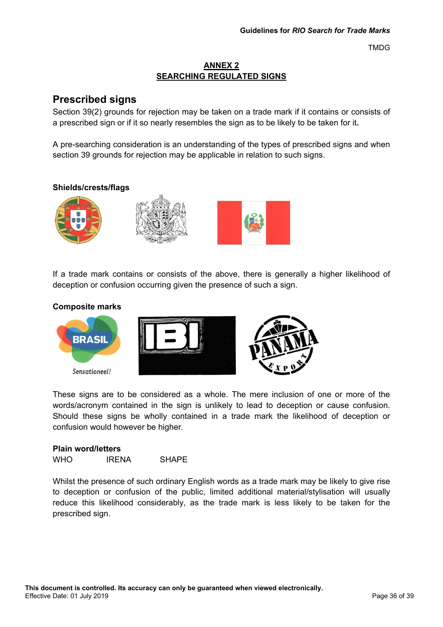## **ANNEX 2 SEARCHING REGULATED SIGNS**

## **Prescribed signs**

Section 39(2) grounds for rejection may be taken on a trade mark if it contains or consists of a prescribed sign or if it so nearly resembles the sign as to be likely to be taken for it**.**

A pre-searching consideration is an understanding of the types of prescribed signs and when section 39 grounds for rejection may be applicable in relation to such signs.

## **Shields/crests/flags**



If a trade mark contains or consists of the above, there is generally a higher likelihood of deception or confusion occurring given the presence of such a sign.

## **Composite marks**



These signs are to be considered as a whole. The mere inclusion of one or more of the words/acronym contained in the sign is unlikely to lead to deception or cause confusion. Should these signs be wholly contained in a trade mark the likelihood of deception or confusion would however be higher.

| <b>Plain word/letters</b> |              |              |  |  |  |  |  |
|---------------------------|--------------|--------------|--|--|--|--|--|
| <b>WHO</b>                | <b>IRENA</b> | <b>SHAPE</b> |  |  |  |  |  |

Whilst the presence of such ordinary English words as a trade mark may be likely to give rise to deception or confusion of the public, limited additional material/stylisation will usually reduce this likelihood considerably, as the trade mark is less likely to be taken for the prescribed sign.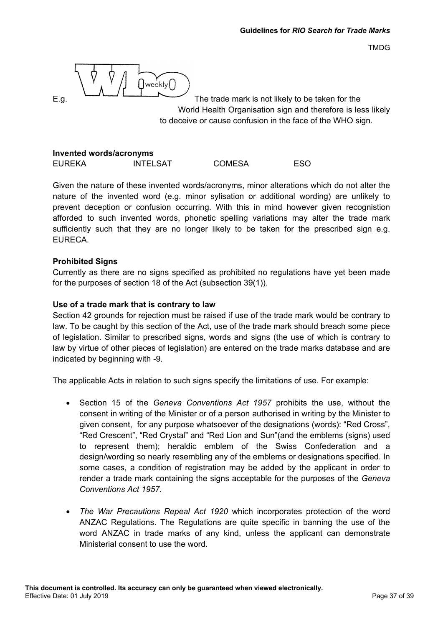$\bigcup \text{weekly} \bigcap$ 

E.g. The trade mark is not likely to be taken for the World Health Organisation sign and therefore is less likely to deceive or cause confusion in the face of the WHO sign.

#### **Invented words/acronyms** EUREKA INTELSAT COMESA ESO

Given the nature of these invented words/acronyms, minor alterations which do not alter the nature of the invented word (e.g. minor sylisation or additional wording) are unlikely to prevent deception or confusion occurring. With this in mind however given recognistion afforded to such invented words, phonetic spelling variations may alter the trade mark sufficiently such that they are no longer likely to be taken for the prescribed sign e.g.

## **Prohibited Signs**

EURECA.

Currently as there are no signs specified as prohibited no regulations have yet been made for the purposes of section 18 of the Act (subsection 39(1)).

## **Use of a trade mark that is contrary to law**

Section 42 grounds for rejection must be raised if use of the trade mark would be contrary to law. To be caught by this section of the Act, use of the trade mark should breach some piece of legislation. Similar to prescribed signs, words and signs (the use of which is contrary to law by virtue of other pieces of legislation) are entered on the trade marks database and are indicated by beginning with -9.

The applicable Acts in relation to such signs specify the limitations of use. For example:

- Section 15 of the *Geneva Conventions Act 1957* prohibits the use, without the consent in writing of the Minister or of a person authorised in writing by the Minister to given consent, for any purpose whatsoever of the designations (words): "Red Cross", "Red Crescent", "Red Crystal" and "Red Lion and Sun"(and the emblems (signs) used to represent them); heraldic emblem of the Swiss Confederation and a design/wording so nearly resembling any of the emblems or designations specified. In some cases, a condition of registration may be added by the applicant in order to render a trade mark containing the signs acceptable for the purposes of the *Geneva Conventions Act 1957.*
- *The War Precautions Repeal Act 1920* which incorporates protection of the word ANZAC Regulations. The Regulations are quite specific in banning the use of the word ANZAC in trade marks of any kind, unless the applicant can demonstrate Ministerial consent to use the word.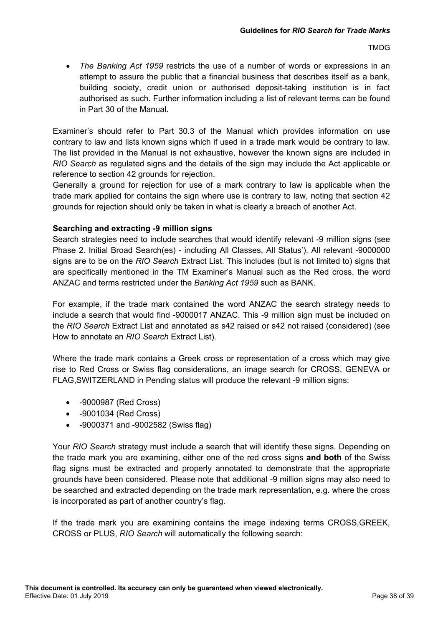• *The Banking Act 1959* restricts the use of a number of words or expressions in an attempt to assure the public that a financial business that describes itself as a bank, building society, credit union or authorised deposit-taking institution is in fact authorised as such. Further information including a list of relevant terms can be found in Part 30 of the Manual.

Examiner's should refer to Part 30.3 of the Manual which provides information on use contrary to law and lists known signs which if used in a trade mark would be contrary to law. The list provided in the Manual is not exhaustive, however the known signs are included in *RIO Search* as regulated signs and the details of the sign may include the Act applicable or reference to section 42 grounds for rejection.

Generally a ground for rejection for use of a mark contrary to law is applicable when the trade mark applied for contains the sign where use is contrary to law, noting that section 42 grounds for rejection should only be taken in what is clearly a breach of another Act.

## **Searching and extracting -9 million signs**

Search strategies need to include searches that would identify relevant -9 million signs (see Phase 2. Initial Broad Search(es) - including All Classes, All Status'). All relevant -9000000 signs are to be on the *RIO Search* Extract List. This includes (but is not limited to) signs that are specifically mentioned in the TM Examiner's Manual such as the Red cross, the word ANZAC and terms restricted under the *Banking Act 1959* such as BANK.

For example, if the trade mark contained the word ANZAC the search strategy needs to include a search that would find -9000017 ANZAC. This -9 million sign must be included on the *RIO Search* Extract List and annotated as s42 raised or s42 not raised (considered) (see How to annotate an *RIO Search* Extract List).

Where the trade mark contains a Greek cross or representation of a cross which may give rise to Red Cross or Swiss flag considerations, an image search for CROSS, GENEVA or FLAG,SWITZERLAND in Pending status will produce the relevant -9 million signs:

- -9000987 (Red Cross)
- -9001034 (Red Cross)
- -9000371 and -9002582 (Swiss flag)

Your *RIO Search* strategy must include a search that will identify these signs. Depending on the trade mark you are examining, either one of the red cross signs **and both** of the Swiss flag signs must be extracted and properly annotated to demonstrate that the appropriate grounds have been considered. Please note that additional -9 million signs may also need to be searched and extracted depending on the trade mark representation, e.g. where the cross is incorporated as part of another country's flag.

If the trade mark you are examining contains the image indexing terms CROSS,GREEK, CROSS or PLUS, *RIO Search* will automatically the following search: